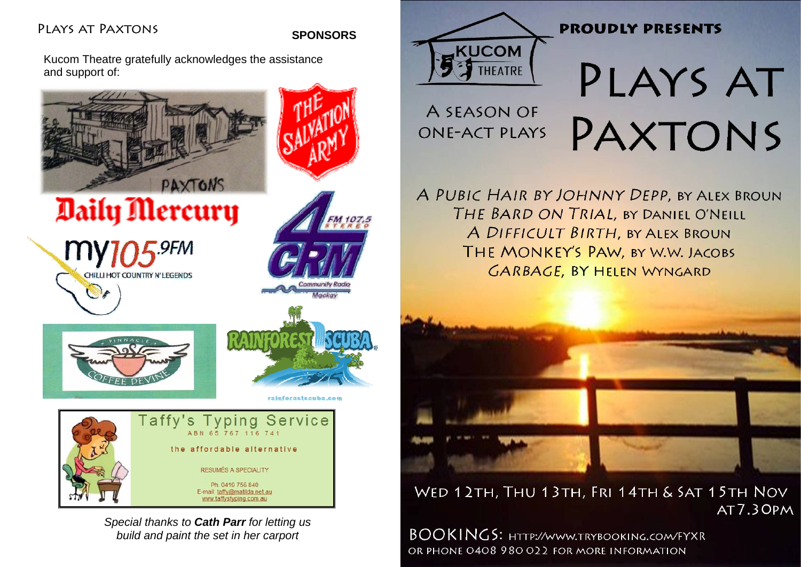# Plays at Paxtons

### **SPONSORS**

Kucom Theatre gratefully acknowledges the assistance and support of:



*Special thanks to Cath Parr for letting us build and paint the set in her carport*



A SEASON OF

**ONF-ACT PLAYS** 

# **PROUDLY PRESENTS**

PLAYS AT PAXTONS

A PUBIC HAIR BY JOHNNY DEPP, BY ALEX BROUN THE BARD ON TRIAL, BY DANIEL O'NEILL A DIFFICULT BIRTH, BY ALEX BROUN THE MONKEY'S PAW, BY W.W. JACOBS **GARBAGE, BY HELEN WYNGARD** 



WED 12TH, THU 13TH, FRI 14TH & SAT 15TH NOV AT7.30PM

BOOKINGS: HTTP://WWW.TRYBOOKING.COM/FYXR OR PHONE 0408 980 022 FOR MORE INFORMATION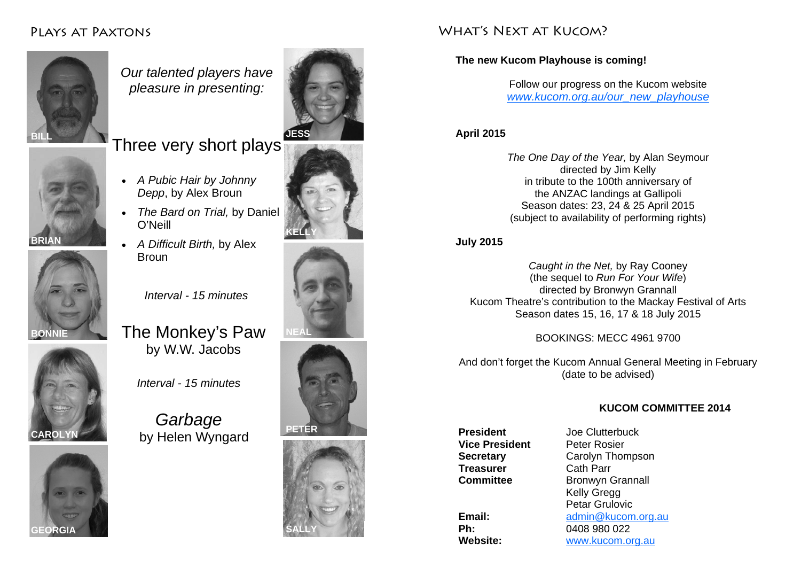# Plays at Paxtons



*Our talented players have pleasure in presenting:* 

# Three very short plays

• *A Pubic Hair by Johnny Depp*, by Alex Broun

• *A Difficult Birth,* by Alex

O'Neill

Broun





*Interval - 15 minutes* 





The Monkey's Paw by W.W. Jacobs

*Interval - 15 minutes* 

*Garbage*  by Helen Wyngard









## WHAT'S NEXT AT KUCOM?

### **The new Kucom Playhouse is coming!**

Follow our progress on the Kucom website *www.kucom.org.au/our\_new\_playhouse*

### **April 2015**

*The One Day of the Year,* by Alan Seymour directed by Jim Kelly in tribute to the 100th anniversary of the ANZAC landings at Gallipoli Season dates: 23, 24 & 25 April 2015 (subject to availability of performing rights)

**July 2015** 

*Caught in the Net,* by Ray Cooney (the sequel to *Run For Your Wife*) directed by Bronwyn Grannall Kucom Theatre's contribution to the Mackay Festival of Arts Season dates 15, 16, 17 & 18 July 2015

BOOKINGS: MECC 4961 9700

And don't forget the Kucom Annual General Meeting in February (date to be advised)

### **KUCOM COMMITTEE 2014**

**Vice President** Peter Rosier **Treasurer** Cath Parr

**President** Joe Clutterbuck **Secretary** Carolyn Thompson **Committee Bronwyn Grannall**  Kelly Gregg Petar Grulovic **Email:** admin@kucom.org.au **Ph:** 0408 980 022 **Website:** www.kucom.org.au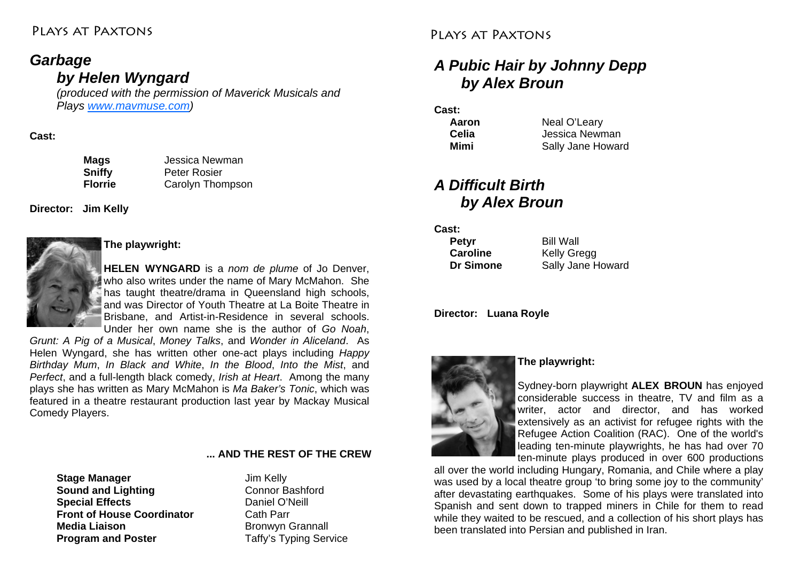### Plays at Paxtons

## *Garbage by Helen Wyngard*

*(produced with the permission of Maverick Musicals and Plays www.mavmuse.com)* 

#### **Cast:**

 **Mags** Jessica Newman **Sniffy** Peter Rosier  **Florrie** Carolyn Thompson

**Director: Jim Kelly** 



### **The playwright:**

**HELEN WYNGARD** is a *nom de plume* of Jo Denver, who also writes under the name of Mary McMahon. She has taught theatre/drama in Queensland high schools, and was Director of Youth Theatre at La Boite Theatre in Brisbane, and Artist-in-Residence in several schools. Under her own name she is the author of *Go Noah*,

*Grunt: A Pig of a Musical*, *Money Talks*, and *Wonder in Aliceland*. As Helen Wyngard, she has written other one-act plays including *Happy Birthday Mum*, *In Black and White*, *In the Blood*, *Into the Mist*, and *Perfect*, and a full-length black comedy, *Irish at Heart*. Among the many plays she has written as Mary McMahon is *Ma Baker's Tonic*, which was featured in a theatre restaurant production last year by Mackay Musical Comedy Players.

#### **... AND THE REST OF THE CREW**

**Stage Manager Jim Kelly Sound and Lighting <b>Connor** Bashford **Special Effects Daniel O'Neill Front of House Coordinator** Cath Parr **Media Liaison** Bronwyn Grannall **Program and Poster**  Taffy's Typing Service

### Plays at Paxtons

# *A Pubic Hair by Johnny Depp by Alex Broun*

#### **Cast:**

| Aaron | Neal O'Leary      |
|-------|-------------------|
| Celia | Jessica Newman    |
| Mimi  | Sally Jane Howard |

# *A Difficult Birth by Alex Broun*

**Cast:** 

| Petyr     | <b>Bill Wall</b>   |
|-----------|--------------------|
| Caroline  | <b>Kelly Gregg</b> |
| Dr Simone | Sally Jane Howard  |

**Director: Luana Royle** 



### **The playwright:**

Sydney-born playwright **ALEX BROUN** has enjoyed considerable success in theatre, TV and film as a writer, actor and director, and has worked extensively as an activist for refugee rights with the Refugee Action Coalition (RAC). One of the world's leading ten-minute playwrights, he has had over 70 ten-minute plays produced in over 600 productions

all over the world including Hungary, Romania, and Chile where a play was used by a local theatre group 'to bring some joy to the community' after devastating earthquakes. Some of his plays were translated into Spanish and sent down to trapped miners in Chile for them to read while they waited to be rescued, and a collection of his short plays has been translated into Persian and published in Iran.